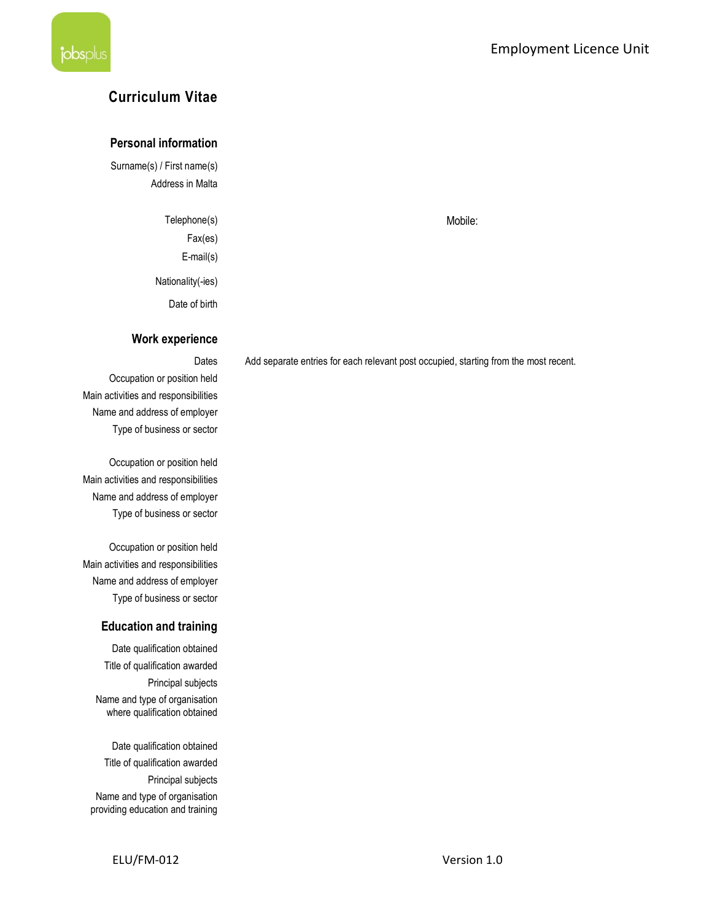# Curriculum Vitae

### Personal information

Surname(s) / First name(s) Address in Malta

> Telephone(s) Mobile: Fax(es) E-mail(s) Nationality(-ies) Date of birth

#### Work experience

Occupation or position held Main activities and responsibilities Name and address of employer Type of business or sector

Occupation or position held Main activities and responsibilities Name and address of employer Type of business or sector

Occupation or position held Main activities and responsibilities Name and address of employer Type of business or sector

### Education and training

Date qualification obtained Title of qualification awarded Principal subjects Name and type of organisation where qualification obtained

Date qualification obtained Title of qualification awarded Principal subjects Name and type of organisation providing education and training

Dates Add separate entries for each relevant post occupied, starting from the most recent.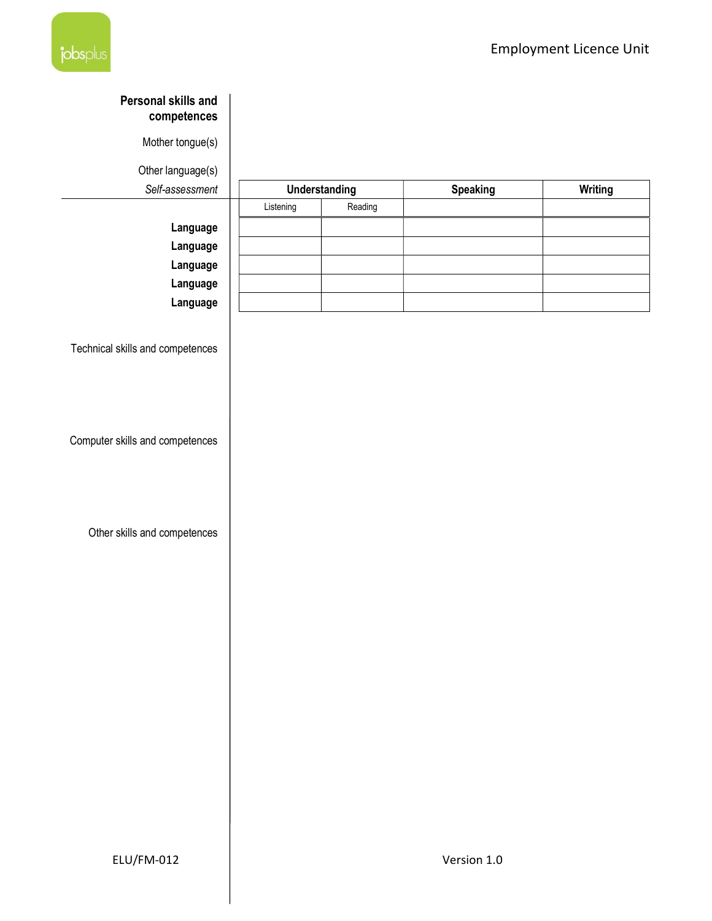

# Personal skills and competences

Mother tongue(s)

Other language(s)

| Self-assessment | <b>Understanding</b> |         | <b>Speaking</b> | <b>Writing</b> |
|-----------------|----------------------|---------|-----------------|----------------|
|                 | Listening            | Reading |                 |                |
| Language        |                      |         |                 |                |
| Language        |                      |         |                 |                |
| Language        |                      |         |                 |                |
| Language        |                      |         |                 |                |
| Language        |                      |         |                 |                |

Technical skills and competences

Computer skills and competences

Other skills and competences